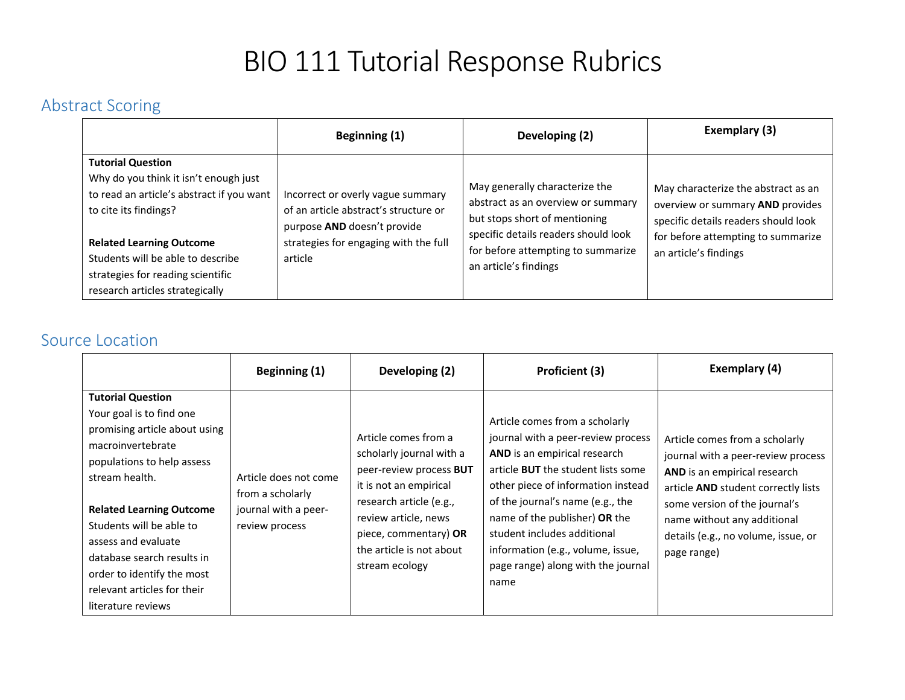# BIO 111 Tutorial Response Rubrics

## Abstract Scoring

|                                                                                                                                                                                                                                                                                         | Beginning (1)                                                                                                                                                 | Developing (2)                                                                                                                                                                                               | Exemplary (3)                                                                                                                                                                  |
|-----------------------------------------------------------------------------------------------------------------------------------------------------------------------------------------------------------------------------------------------------------------------------------------|---------------------------------------------------------------------------------------------------------------------------------------------------------------|--------------------------------------------------------------------------------------------------------------------------------------------------------------------------------------------------------------|--------------------------------------------------------------------------------------------------------------------------------------------------------------------------------|
| <b>Tutorial Question</b><br>Why do you think it isn't enough just<br>to read an article's abstract if you want<br>to cite its findings?<br><b>Related Learning Outcome</b><br>Students will be able to describe<br>strategies for reading scientific<br>research articles strategically | Incorrect or overly vague summary<br>of an article abstract's structure or<br>purpose AND doesn't provide<br>strategies for engaging with the full<br>article | May generally characterize the<br>abstract as an overview or summary<br>but stops short of mentioning<br>specific details readers should look<br>for before attempting to summarize<br>an article's findings | May characterize the abstract as an<br>overview or summary AND provides<br>specific details readers should look<br>for before attempting to summarize<br>an article's findings |

#### Source Location

|                                                                                                                                                                                                                                                                                                                                                                   | Beginning (1)                                                                       | Developing (2)                                                                                                                                                                                                                  | <b>Proficient (3)</b>                                                                                                                                                                                                                                                                                                                                                          | Exemplary (4)                                                                                                                                                                                                                                                     |
|-------------------------------------------------------------------------------------------------------------------------------------------------------------------------------------------------------------------------------------------------------------------------------------------------------------------------------------------------------------------|-------------------------------------------------------------------------------------|---------------------------------------------------------------------------------------------------------------------------------------------------------------------------------------------------------------------------------|--------------------------------------------------------------------------------------------------------------------------------------------------------------------------------------------------------------------------------------------------------------------------------------------------------------------------------------------------------------------------------|-------------------------------------------------------------------------------------------------------------------------------------------------------------------------------------------------------------------------------------------------------------------|
| <b>Tutorial Question</b><br>Your goal is to find one<br>promising article about using<br>macroinvertebrate<br>populations to help assess<br>stream health.<br><b>Related Learning Outcome</b><br>Students will be able to<br>assess and evaluate<br>database search results in<br>order to identify the most<br>relevant articles for their<br>literature reviews | Article does not come<br>from a scholarly<br>journal with a peer-<br>review process | Article comes from a<br>scholarly journal with a<br>peer-review process BUT<br>it is not an empirical<br>research article (e.g.,<br>review article, news<br>piece, commentary) OR<br>the article is not about<br>stream ecology | Article comes from a scholarly<br>journal with a peer-review process<br>AND is an empirical research<br>article <b>BUT</b> the student lists some<br>other piece of information instead<br>of the journal's name (e.g., the<br>name of the publisher) OR the<br>student includes additional<br>information (e.g., volume, issue,<br>page range) along with the journal<br>name | Article comes from a scholarly<br>journal with a peer-review process<br>AND is an empirical research<br>article AND student correctly lists<br>some version of the journal's<br>name without any additional<br>details (e.g., no volume, issue, or<br>page range) |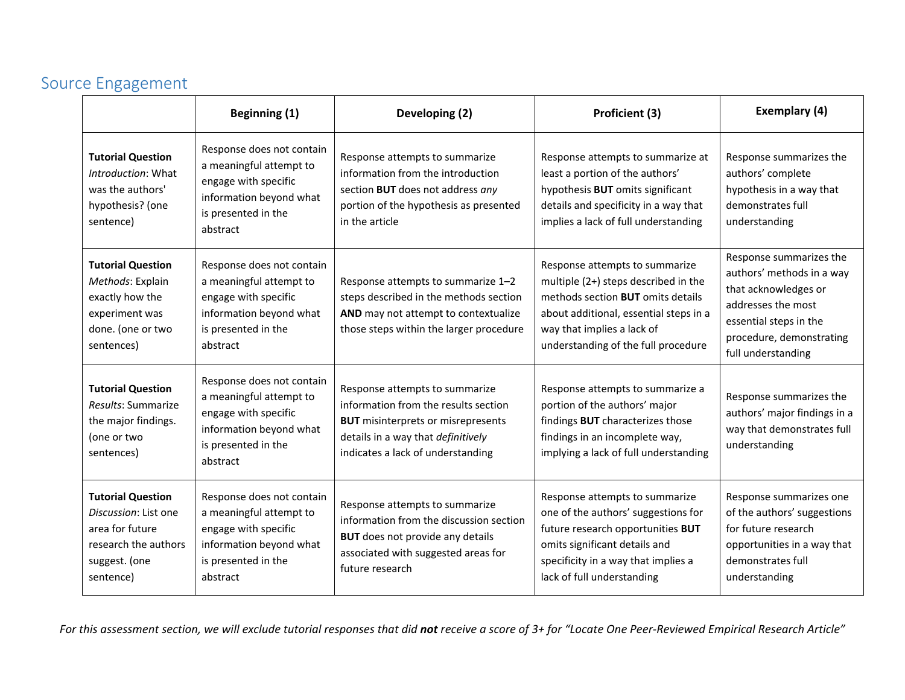### Source Engagement

|                                                                                                                           | <b>Beginning (1)</b>                                                                                                                       | Developing (2)                                                                                                                                                                                 | Proficient (3)                                                                                                                                                                                                                    | Exemplary (4)                                                                                                                                                                  |
|---------------------------------------------------------------------------------------------------------------------------|--------------------------------------------------------------------------------------------------------------------------------------------|------------------------------------------------------------------------------------------------------------------------------------------------------------------------------------------------|-----------------------------------------------------------------------------------------------------------------------------------------------------------------------------------------------------------------------------------|--------------------------------------------------------------------------------------------------------------------------------------------------------------------------------|
| <b>Tutorial Question</b><br>Introduction: What<br>was the authors'<br>hypothesis? (one<br>sentence)                       | Response does not contain<br>a meaningful attempt to<br>engage with specific<br>information beyond what<br>is presented in the<br>abstract | Response attempts to summarize<br>information from the introduction<br>section BUT does not address any<br>portion of the hypothesis as presented<br>in the article                            | Response attempts to summarize at<br>least a portion of the authors'<br>hypothesis BUT omits significant<br>details and specificity in a way that<br>implies a lack of full understanding                                         | Response summarizes the<br>authors' complete<br>hypothesis in a way that<br>demonstrates full<br>understanding                                                                 |
| <b>Tutorial Question</b><br>Methods: Explain<br>exactly how the<br>experiment was<br>done. (one or two<br>sentences)      | Response does not contain<br>a meaningful attempt to<br>engage with specific<br>information beyond what<br>is presented in the<br>abstract | Response attempts to summarize 1-2<br>steps described in the methods section<br>AND may not attempt to contextualize<br>those steps within the larger procedure                                | Response attempts to summarize<br>multiple (2+) steps described in the<br>methods section <b>BUT</b> omits details<br>about additional, essential steps in a<br>way that implies a lack of<br>understanding of the full procedure | Response summarizes the<br>authors' methods in a way<br>that acknowledges or<br>addresses the most<br>essential steps in the<br>procedure, demonstrating<br>full understanding |
| <b>Tutorial Question</b><br>Results: Summarize<br>the major findings.<br>(one or two<br>sentences)                        | Response does not contain<br>a meaningful attempt to<br>engage with specific<br>information beyond what<br>is presented in the<br>abstract | Response attempts to summarize<br>information from the results section<br><b>BUT</b> misinterprets or misrepresents<br>details in a way that definitively<br>indicates a lack of understanding | Response attempts to summarize a<br>portion of the authors' major<br>findings BUT characterizes those<br>findings in an incomplete way,<br>implying a lack of full understanding                                                  | Response summarizes the<br>authors' major findings in a<br>way that demonstrates full<br>understanding                                                                         |
| <b>Tutorial Question</b><br>Discussion: List one<br>area for future<br>research the authors<br>suggest. (one<br>sentence) | Response does not contain<br>a meaningful attempt to<br>engage with specific<br>information beyond what<br>is presented in the<br>abstract | Response attempts to summarize<br>information from the discussion section<br><b>BUT</b> does not provide any details<br>associated with suggested areas for<br>future research                 | Response attempts to summarize<br>one of the authors' suggestions for<br>future research opportunities BUT<br>omits significant details and<br>specificity in a way that implies a<br>lack of full understanding                  | Response summarizes one<br>of the authors' suggestions<br>for future research<br>opportunities in a way that<br>demonstrates full<br>understanding                             |

*For this assessment section, we will exclude tutorial responses that did not receive a score of 3+ for "Locate One Peer‐Reviewed Empirical Research Article"*